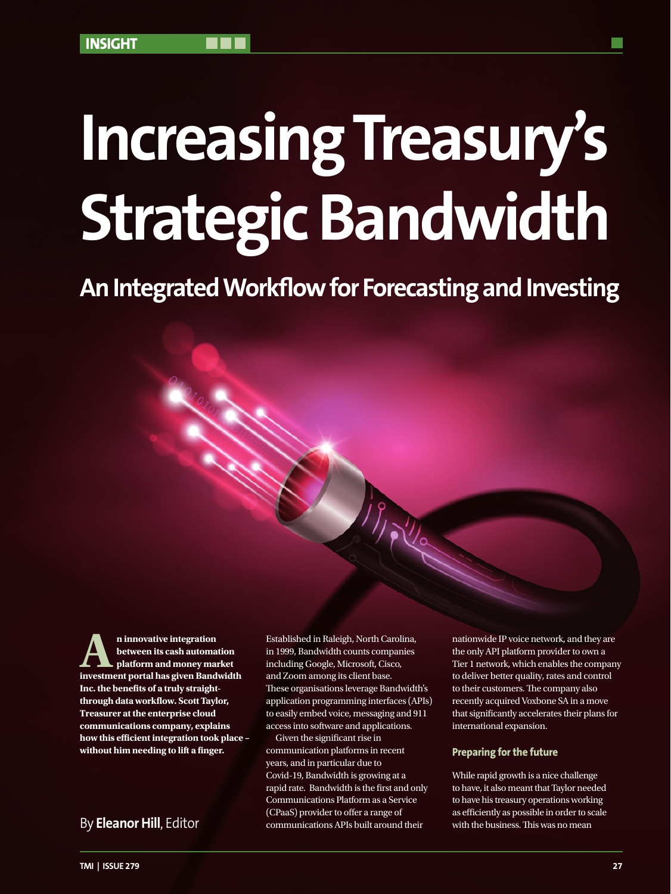# **Increasing Treasury's Strategic Bandwidth**

**An Integrated Workflow for Forecasting and Investing**

**A**n innovative integration<br>between its cash automa<br>investment nortal has given Rand **between its cash automation platform and money market investment portal has given Bandwidth Inc. the benefits of a truly straightthrough data workflow. Scott Taylor, Treasurer at the enterprise cloud communications company, explains how this efficient integration took place – without him needing to lift a finger.**

Established in Raleigh, North Carolina, in 1999, Bandwidth counts companies including Google, Microsoft, Cisco, and Zoom among its client base. These organisations leverage Bandwidth's application programming interfaces (APIs) to easily embed voice, messaging and 911 access into software and applications.

Given the significant rise in communication platforms in recent years, and in particular due to Covid-19, Bandwidth is growing at a rapid rate. Bandwidth is the first and only Communications Platform as a Service (CPaaS) provider to offer a range of communications APIs built around their By **Eleanor Hill**, Editor communications APIs built around their with the business. This was no mean

nationwide IP voice network, and they are the only API platform provider to own a Tier 1 network, which enables the company to deliver better quality, rates and control to their customers. The company also recently acquired Voxbone SA in a move that significantly accelerates their plans for international expansion.

## **Preparing for the future**

While rapid growth is a nice challenge to have, it also meant that Taylor needed to have his treasury operations working as efficiently as possible in order to scale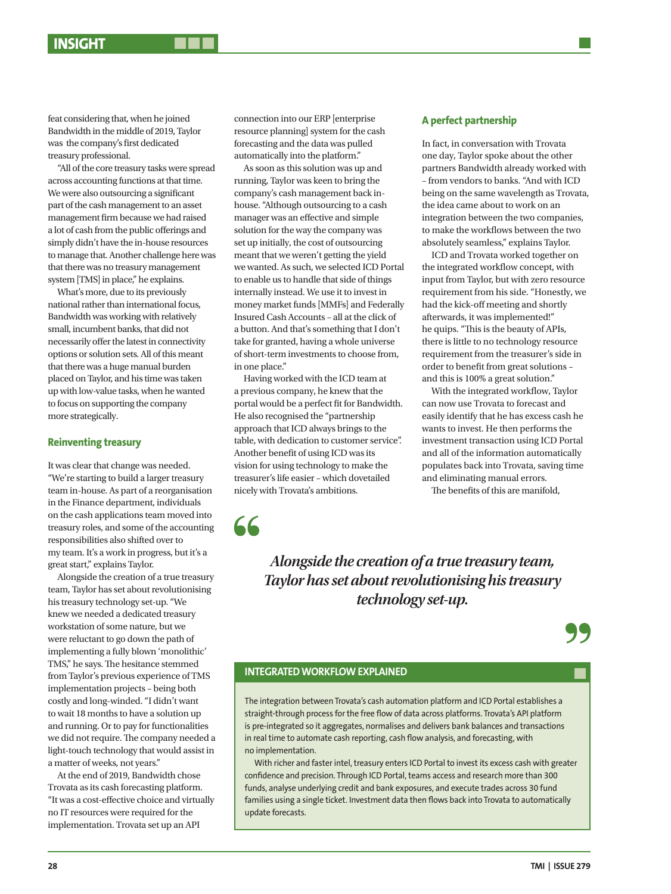feat considering that, when he joined Bandwidth in the middle of 2019, Taylor was the company's first dedicated treasury professional.

"All of the core treasury tasks were spread across accounting functions at that time. We were also outsourcing a significant part of the cash management to an asset management firm because we had raised a lot of cash from the public offerings and simply didn't have the in-house resources to manage that. Another challenge here was that there was no treasury management system [TMS] in place," he explains.

What's more, due to its previously national rather than international focus, Bandwidth was working with relatively small, incumbent banks, that did not necessarily offer the latest in connectivity options or solution sets. All of this meant that there was a huge manual burden placed on Taylor, and his time was taken up with low-value tasks, when he wanted to focus on supporting the company more strategically.

#### **Reinventing treasury**

It was clear that change was needed. "We're starting to build a larger treasury team in-house. As part of a reorganisation in the Finance department, individuals on the cash applications team moved into treasury roles, and some of the accounting responsibilities also shifted over to my team. It's a work in progress, but it's a great start," explains Taylor.

Alongside the creation of a true treasury team, Taylor has set about revolutionising his treasury technology set-up. "We knew we needed a dedicated treasury workstation of some nature, but we were reluctant to go down the path of implementing a fully blown 'monolithic' TMS," he says. The hesitance stemmed from Taylor's previous experience of TMS implementation projects – being both costly and long-winded. "I didn't want to wait 18 months to have a solution up and running. Or to pay for functionalities we did not require. The company needed a light-touch technology that would assist in a matter of weeks, not years."

At the end of 2019, Bandwidth chose Trovata as its cash forecasting platform. "It was a cost-effective choice and virtually no IT resources were required for the implementation. Trovata set up an API

connection into our ERP [enterprise resource planning] system for the cash forecasting and the data was pulled automatically into the platform."

As soon as this solution was up and running, Taylor was keen to bring the company's cash management back inhouse. "Although outsourcing to a cash manager was an effective and simple solution for the way the company was set up initially, the cost of outsourcing meant that we weren't getting the yield we wanted. As such, we selected ICD Portal to enable us to handle that side of things internally instead. We use it to invest in money market funds [MMFs] and Federally Insured Cash Accounts – all at the click of a button. And that's something that I don't take for granted, having a whole universe of short-term investments to choose from, in one place."

Having worked with the ICD team at a previous company, he knew that the portal would be a perfect fit for Bandwidth. He also recognised the "partnership approach that ICD always brings to the table, with dedication to customer service". Another benefit of using ICD was its vision for using technology to make the treasurer's life easier – which dovetailed nicely with Trovata's ambitions.

## **A perfect partnership**

In fact, in conversation with Trovata one day, Taylor spoke about the other partners Bandwidth already worked with – from vendors to banks. "And with ICD being on the same wavelength as Trovata, the idea came about to work on an integration between the two companies, to make the workflows between the two absolutely seamless," explains Taylor.

ICD and Trovata worked together on the integrated workflow concept, with input from Taylor, but with zero resource requirement from his side. "Honestly, we had the kick-off meeting and shortly afterwards, it was implemented!" he quips. "This is the beauty of APIs, there is little to no technology resource requirement from the treasurer's side in order to benefit from great solutions – and this is 100% a great solution."

With the integrated workflow, Taylor can now use Trovata to forecast and easily identify that he has excess cash he wants to invest. He then performs the investment transaction using ICD Portal and all of the information automatically populates back into Trovata, saving time and eliminating manual errors.

The benefits of this are manifold,

66

*Alongside the creation of a true treasury team, Taylor has set about revolutionising his treasury technology set-up.*

## **INTEGRATED WORKFLOW EXPLAINED**

The integration between Trovata's cash automation platform and ICD Portal establishes a straight-through process for the free flow of data across platforms. Trovata's API platform is pre-integrated so it aggregates, normalises and delivers bank balances and transactions in real time to automate cash reporting, cash flow analysis, and forecasting, with no implementation.

With richer and faster intel, treasury enters ICD Portal to invest its excess cash with greater confidence and precision. Through ICD Portal, teams access and research more than 300 funds, analyse underlying credit and bank exposures, and execute trades across 30 fund families using a single ticket. Investment data then flows back into Trovata to automatically update forecasts.